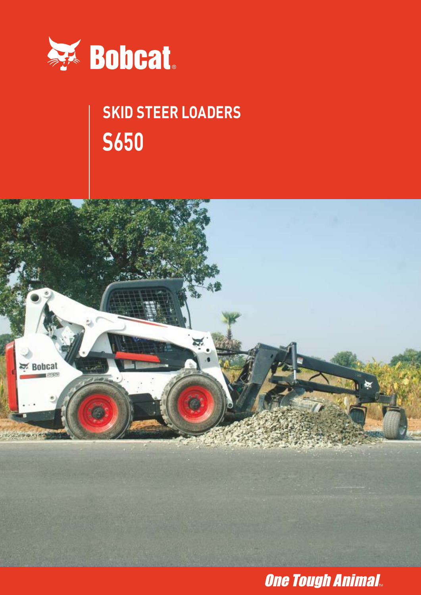

# **SKID STEER LOADERS S650**



# **One Tough Animal.**